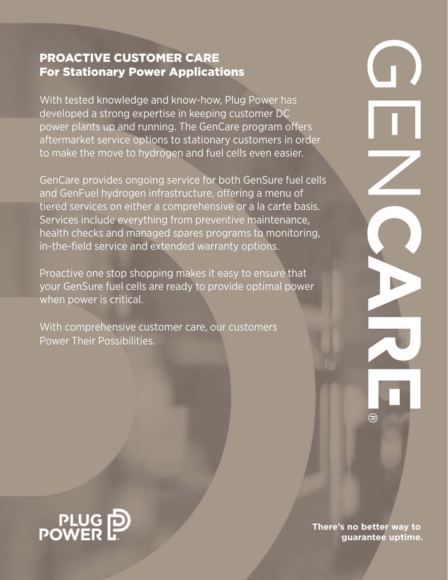# PROACTIVE CUSTOMER CARE For Stationary Power Applications

With tested knowledge and know-how, Plug Power has developed a strong expertise in keeping customer DC power plants up and running. The GenCare program offers aftermarket service options to stationary customers in order to make the move to hydrogen and fuel cells even easier.

GenCare provides ongoing service for both GenSure fuel cells and GenFuel hydrogen infrastructure, offering a menu of tiered services on either a comprehensive or a la carte basis. Services include everything from preventive maintenance, health checks and managed spares programs to monitoring, in-the-field service and extended warranty options.

Proactive one stop shopping makes it easy to ensure that your GenSure fuel cells are ready to provide optimal power when power is critical.

With comprehensive customer care, our customers Power Their Possibilities.





**There's no better way to guarantee uptime.**